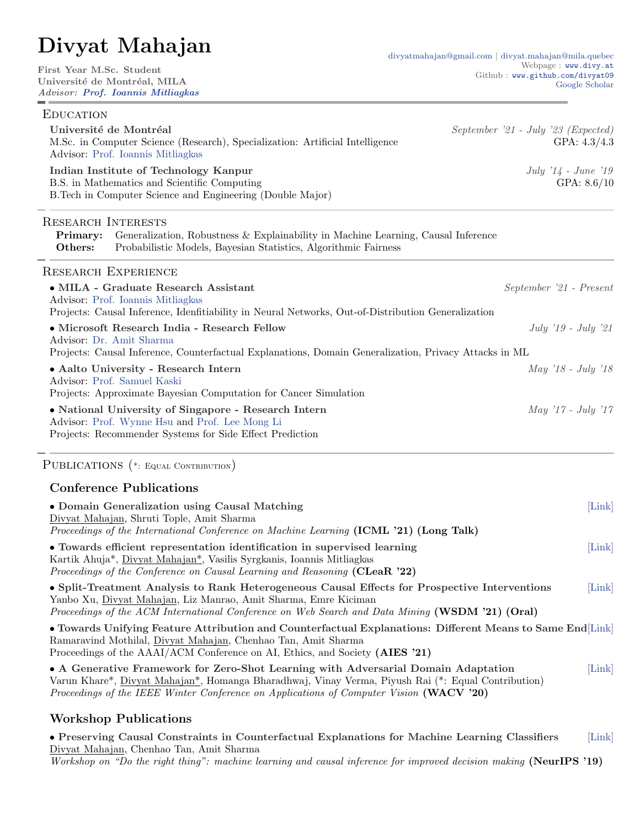# Divyat Mahajan

| First Year M.Sc. Student<br>Université de Montréal, MILA<br>Advisor: Prof. Ioannis Mitliagkas                                                                                                                                                                       | Webpage: www.divy.at<br>Github : www.github.com/divyat09<br>Google Scholar |
|---------------------------------------------------------------------------------------------------------------------------------------------------------------------------------------------------------------------------------------------------------------------|----------------------------------------------------------------------------|
| <b>EDUCATION</b>                                                                                                                                                                                                                                                    |                                                                            |
| Université de Montréal<br>M.Sc. in Computer Science (Research), Specialization: Artificial Intelligence<br>Advisor: Prof. Ioannis Mitliagkas                                                                                                                        | September '21 - July '23 (Expected)<br>GPA: $4.3/4.3$                      |
| Indian Institute of Technology Kanpur<br>B.S. in Mathematics and Scientific Computing<br>B. Tech in Computer Science and Engineering (Double Major)                                                                                                                 | July $'14$ - June $'19$<br>GPA: $8.6/10$                                   |
| <b>RESEARCH INTERESTS</b><br>Generalization, Robustness & Explainability in Machine Learning, Causal Inference<br>Primary:<br>Others:<br>Probabilistic Models, Bayesian Statistics, Algorithmic Fairness                                                            |                                                                            |
| <b>RESEARCH EXPERIENCE</b>                                                                                                                                                                                                                                          |                                                                            |
| · MILA - Graduate Research Assistant<br>Advisor: Prof. Ioannis Mitliagkas<br>Projects: Causal Inference, Idenfitiability in Neural Networks, Out-of-Distribution Generalization                                                                                     | September '21 - Present                                                    |
| • Microsoft Research India - Research Fellow<br>Advisor: Dr. Amit Sharma<br>Projects: Causal Inference, Counterfactual Explanations, Domain Generalization, Privacy Attacks in ML                                                                                   | July $'19$ - July $'21$                                                    |
| • Aalto University - Research Intern<br>Advisor: Prof. Samuel Kaski<br>Projects: Approximate Bayesian Computation for Cancer Simulation                                                                                                                             | May '18 - July '18                                                         |
| • National University of Singapore - Research Intern<br>Advisor: Prof. Wynne Hsu and Prof. Lee Mong Li<br>Projects: Recommender Systems for Side Effect Prediction                                                                                                  | $May '17 - July '17$                                                       |
| PUBLICATIONS (*: EQUAL CONTRIBUTION)                                                                                                                                                                                                                                |                                                                            |
| <b>Conference Publications</b>                                                                                                                                                                                                                                      |                                                                            |
| • Domain Generalization using Causal Matching<br>Divyat Mahajan, Shruti Tople, Amit Sharma<br>Proceedings of the International Conference on Machine Learning (ICML '21) (Long Talk)                                                                                | [Link]                                                                     |
| • Towards efficient representation identification in supervised learning<br>Kartik Ahuja*, Divyat Mahajan*, Vasilis Syrgkanis, Ioannis Mitliagkas<br>Proceedings of the Conference on Causal Learning and Reasoning (CLeaR '22)                                     | Link                                                                       |
| • Split-Treatment Analysis to Rank Heterogeneous Causal Effects for Prospective Interventions<br>Yanbo Xu, Divyat Mahajan, Liz Manrao, Amit Sharma, Emre Kiciman<br>Proceedings of the ACM International Conference on Web Search and Data Mining (WSDM '21) (Oral) | [Link]                                                                     |
| • Towards Unifying Feature Attribution and Counterfactual Explanations: Different Means to Same End [Link]<br>Ramaravind Mothilal, Divyat Mahajan, Chenhao Tan, Amit Sharma<br>Proceedings of the AAAI/ACM Conference on AI, Ethics, and Society (AIES '21)         |                                                                            |
| • A Generative Framework for Zero-Shot Learning with Adversarial Domain Adaptation<br>Very Khans Direct Mahaian Hamanga Dhanadhwa: Viney Varma Direct Dai (*, Egyal Captribution)                                                                                   | [Link]                                                                     |

 $\,$ divyat<br/>mahajan@mila.quebec

Varun Khare\*, Divyat Mahajan\*, Homanga Bharadhwaj, Vinay Verma, Piyush Rai (\*: Equal Contribution) Proceedings of the IEEE Winter Conference on Applications of Computer Vision (WACV '20)

## Workshop Publications

• Preserving Causal Constraints in Counterfactual Explanations for Machine Learning Classifiers [\[Link\]](https://arxiv.org/abs/1912.03277) Divyat Mahajan, Chenhao Tan, Amit Sharma Workshop on "Do the right thing": machine learning and causal inference for improved decision making (NeurIPS '19)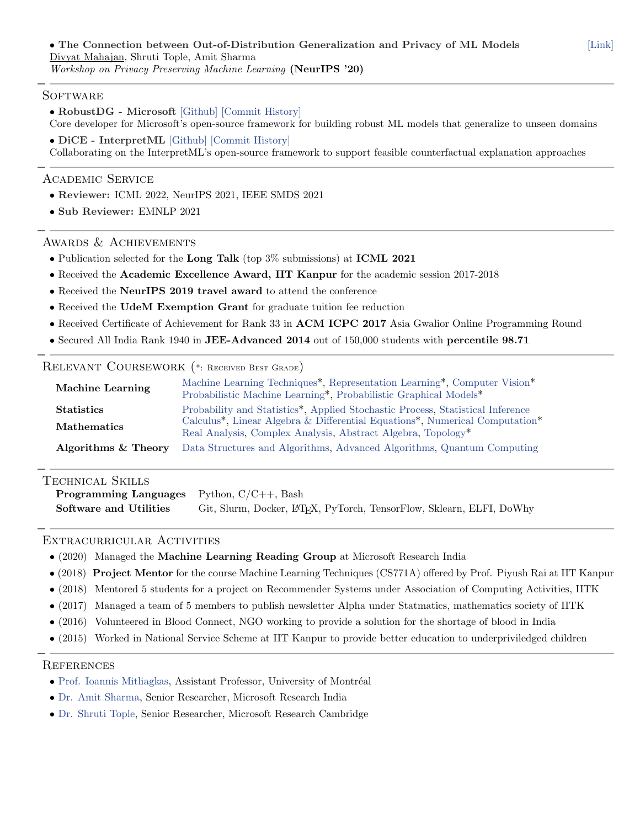#### **SOFTWARE**

• RobustDG - Microsoft [\[Github\]](https://github.com/microsoft/robustdg) [\[Commit History\]](https://github.com/microsoft/robustdg/commits/master?author=divyat09) Core developer for Microsoft's open-source framework for building robust ML models that generalize to unseen domains

• DiCE - InterpretML [\[Github\]](https://github.com/interpretml/DiCE) [\[Commit History\]](https://github.com/interpretml/DiCE/commits/master?author=divyat09) Collaborating on the InterpretML's open-source framework to support feasible counterfactual explanation approaches

## Academic Service

- Reviewer: ICML 2022, NeurIPS 2021, IEEE SMDS 2021
- Sub Reviewer: EMNLP 2021

## Awards & Achievements

- Publication selected for the Long Talk (top 3% submissions) at ICML 2021
- Received the Academic Excellence Award, IIT Kanpur for the academic session 2017-2018
- Received the NeurIPS 2019 travel award to attend the conference
- Received the UdeM Exemption Grant for graduate tuition fee reduction
- Received Certificate of Achievement for Rank 33 in ACM ICPC 2017 Asia Gwalior Online Programming Round
- Secured All India Rank 1940 in JEE-Advanced 2014 out of 150,000 students with percentile 98.71

## Relevant Coursework (\*: Received Best Grade)

| <b>Machine Learning</b> | Machine Learning Techniques*, Representation Learning*, Computer Vision*<br>Probabilistic Machine Learning*, Probabilistic Graphical Models*                                                        |
|-------------------------|-----------------------------------------------------------------------------------------------------------------------------------------------------------------------------------------------------|
| <b>Statistics</b>       | Probability and Statistics*, Applied Stochastic Process, Statistical Inference<br>Calculus <sup>*</sup> , Linear Algebra & Differential Equations <sup>*</sup> , Numerical Computation <sup>*</sup> |
| <b>Mathematics</b>      | Real Analysis, Complex Analysis, Abstract Algebra, Topology <sup>*</sup>                                                                                                                            |
| Algorithms & Theory     | Data Structures and Algorithms, Advanced Algorithms, Quantum Computing                                                                                                                              |

## Technical Skills

Programming Languages Python, C/C++, Bash Software and Utilities Git, Slurm, Docker, LATEX, PyTorch, TensorFlow, Sklearn, ELFI, DoWhy

## Extracurricular Activities

- (2020) Managed the Machine Learning Reading Group at Microsoft Research India
- (2018) Project Mentor for the course Machine Learning Techniques (CS771A) offered by Prof. Piyush Rai at IIT Kanpur
- (2018) Mentored 5 students for a project on Recommender Systems under Association of Computing Activities, IITK
- (2017) Managed a team of 5 members to publish newsletter Alpha under Statmatics, mathematics society of IITK
- (2016) Volunteered in Blood Connect, NGO working to provide a solution for the shortage of blood in India
- (2015) Worked in National Service Scheme at IIT Kanpur to provide better education to underpriviledged children

#### **REFERENCES**

- $\bullet$  [Prof. Ioannis Mitliagkas,](http://mitliagkas.github.io/) Assistant Professor, University of Montréal
- [Dr. Amit Sharma,](http://www.amitsharma.in/) Senior Researcher, Microsoft Research India
- [Dr. Shruti Tople,](https://www.microsoft.com/en-us/research/people/shtople/) Senior Researcher, Microsoft Research Cambridge